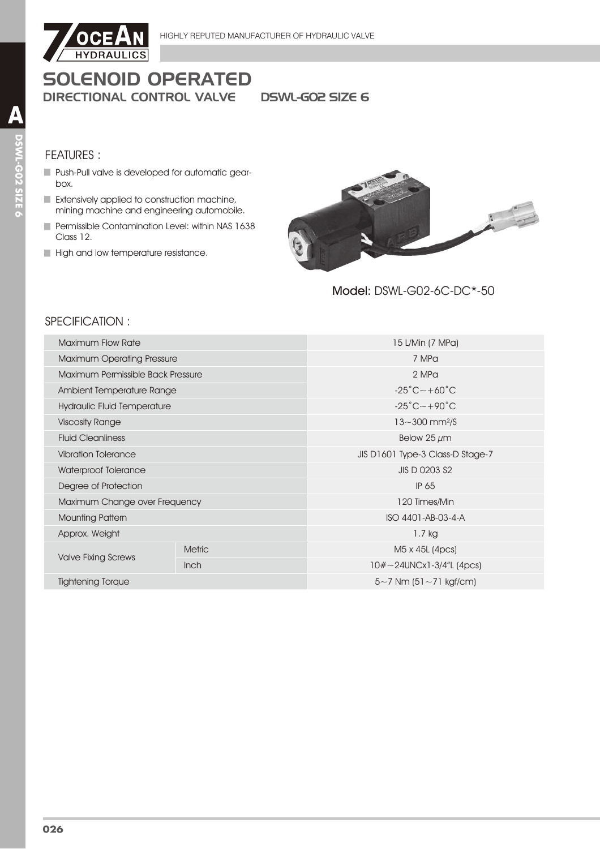

# **SOLENOID OPERATED DIRECTIONAL CONTROL VALVE**

**DSWL-GO2 SIZE 6** 

#### **FEATURES:**

- Push-Pull valve is developed for automatic gearbox.
- Extensively applied to construction machine, mining machine and engineering automobile.
- Permissible Contamination Level: within NAS 1638 Class 12.
- High and low temperature resistance.



Model: DSWL-G02-6C-DC\*-50

## SPECIFICATION:

| Maximum Flow Rate                  |               | 15 L/Min (7 MPa)                        |  |  |
|------------------------------------|---------------|-----------------------------------------|--|--|
| <b>Maximum Operating Pressure</b>  |               | 7 MPa                                   |  |  |
| Maximum Permissible Back Pressure  |               | 2 MPa                                   |  |  |
| Ambient Temperature Range          |               | $-25^{\circ}$ C $\sim$ +60 $^{\circ}$ C |  |  |
| <b>Hydraulic Fluid Temperature</b> |               | $-25^{\circ}$ C $\sim$ +90 $^{\circ}$ C |  |  |
| <b>Viscosity Range</b>             |               | $13 - 300$ mm <sup>2</sup> /S           |  |  |
| <b>Fluid Cleanliness</b>           |               | Below 25 $\mu$ m                        |  |  |
| <b>Vibration Tolerance</b>         |               | JIS D1601 Type-3 Class-D Stage-7        |  |  |
| Waterproof Tolerance               |               | JIS D 0203 S2                           |  |  |
| Degree of Protection               |               | IP 65                                   |  |  |
| Maximum Change over Frequency      |               | 120 Times/Min                           |  |  |
| <b>Mounting Pattern</b>            |               | ISO 4401-AB-03-4-A                      |  |  |
| Approx. Weight                     |               | 1.7 kg                                  |  |  |
| <b>Valve Fixing Screws</b>         | <b>Metric</b> | M5 x 45L (4pcs)                         |  |  |
|                                    | <b>Inch</b>   | $10#~24$ UNCx1-3/4"L (4pcs)             |  |  |
| <b>Tightening Torque</b>           |               | $5 - 7$ Nm $(51 - 71$ kgf/cm)           |  |  |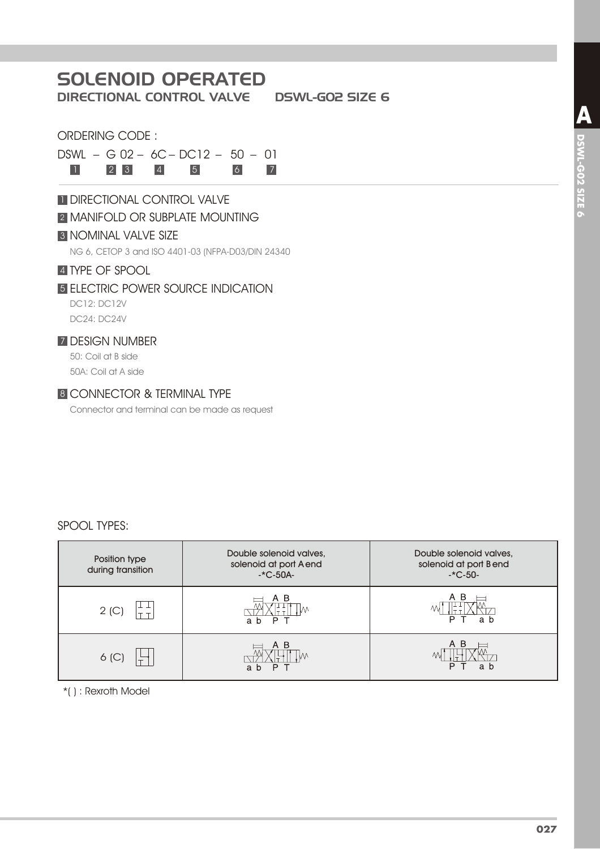# SOLENOID OPERATED

DIRECTIONAL CONTROL VALVE DSWL-G02 SIZE 6

#### ORDERING CODE :

DSWL – G 02 – 6C – DC12 – 50 – 01

1 2 3 4 5 6 7

## **1 DIRECTIONAL CONTROL VALVE**

#### **2 MANIFOLD OR SUBPLATE MOUNTING**

#### **3 NOMINAL VALVE SIZE**

NG 6, CETOP 3 and ISO 4401-03 (NFPA-D03/DIN 24340

#### **4 TYPE OF SPOOL**

#### 5 ELECTRIC POWER SOURCE INDICATION

DC12: DC12V DC24: DC24V

#### 7 DESIGN NUMBER

50: Coil at B side 50A: Coil at A side

#### 8 CONNECTOR & TERMINAL TYPE

Connector and terminal can be made as request

#### SPOOL TYPES:

| Position type<br>during transition | Double solenoid valves,<br>solenoid at port A end<br>$-C-50A-$ | Double solenoid valves,<br>solenoid at port Bend<br>$-C-50-$ |
|------------------------------------|----------------------------------------------------------------|--------------------------------------------------------------|
| 2(C)                               | P<br>a<br>b                                                    | ΑB<br>a b                                                    |
| 6 <sup>(C)</sup>                   | B<br>P<br>a<br>b                                               | A B<br>D<br>a b                                              |

\*( ) : Rexroth Model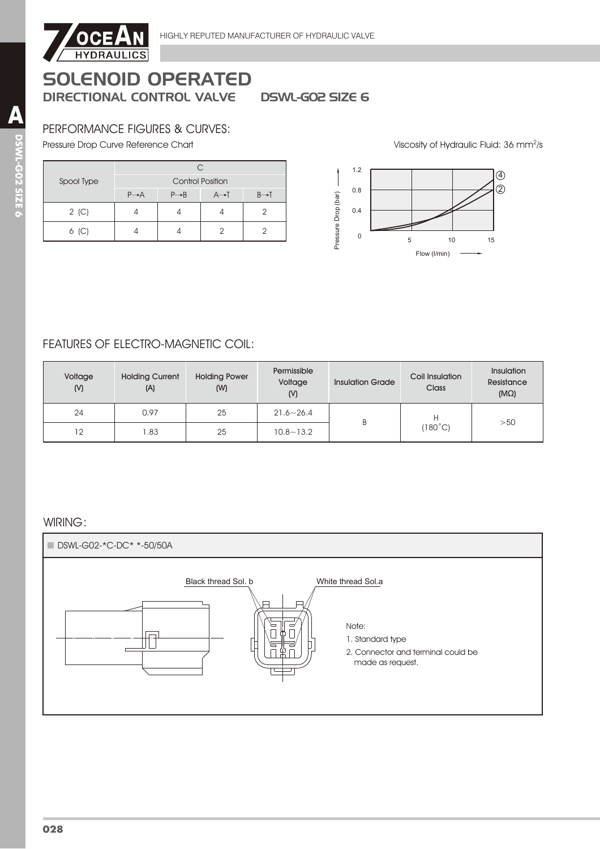

## **SOLENOID OPERATED DIRECTIONAL CONTROL VALVE**

**DSWL-GO2 SIZE 6** 

#### PERFORMANCE FIGURES & CURVES:

Pressure Drop Curve Reference Chart

|            | C.                      |                   |                   |                   |
|------------|-------------------------|-------------------|-------------------|-------------------|
| Spool Type | <b>Control Position</b> |                   |                   |                   |
|            | $P \rightarrow A$       | $P \rightarrow B$ | $A \rightarrow I$ | $B \rightarrow T$ |
| $2$ (C)    |                         |                   |                   |                   |
| $6$ (C)    |                         |                   |                   |                   |



Viscosity of Hydraulic Fluid: 36 mm<sup>2</sup>/s

## **FEATURES OF ELECTRO-MAGNETIC COIL:**

| Voltage<br>(N) | <b>Holding Current</b><br>(A) | <b>Holding Power</b><br>(W) | Permissible<br>Voltage<br>(N) | <b>Insulation Grade</b> | Coil Insulation<br>Class | <b>Insulation</b><br>Resistance<br>$(M\Omega)$ |
|----------------|-------------------------------|-----------------------------|-------------------------------|-------------------------|--------------------------|------------------------------------------------|
| 24             | 0.97                          | 25                          | $21.6 - 26.4$                 | B                       | Н<br>[180°C]             | >50                                            |
| 12             | 1.83                          | 25                          | $10.8 - 13.2$                 |                         |                          |                                                |

#### WIRING: